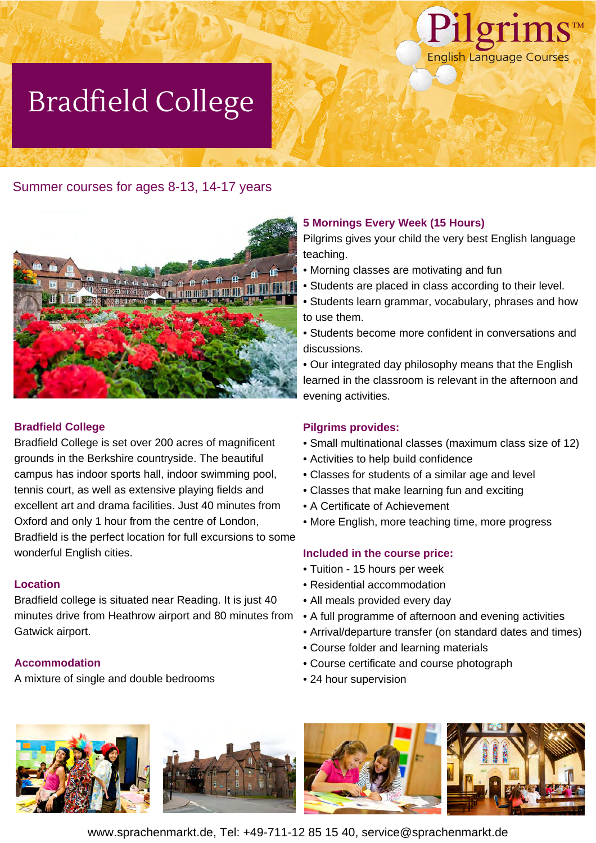

# Bradfield College

## Summer courses for ages 8-13, 14-17 years



#### **Bradfield College**

Bradfield College is set over 200 acres of magnificent grounds in the Berkshire countryside. The beautiful campus has indoor sports hall, indoor swimming pool, tennis court, as well as extensive playing fields and excellent art and drama facilities. Just 40 minutes from Oxford and only 1 hour from the centre of London, Bradfield is the perfect location for full excursions to some wonderful English cities.

#### **Location**

Bradfield college is situated near Reading. It is just 40 minutes drive from Heathrow airport and 80 minutes from Gatwick airport.

#### **Accommodation**

A mixture of single and double bedrooms

### **5 Mornings Every Week (15 Hours)**

Pilgrims gives your child the very best English language teaching.

- Morning classes are motivating and fun
- Students are placed in class according to their level.
- Students learn grammar, vocabulary, phrases and how to use them.
- Students become more confident in conversations and discussions.

• Our integrated day philosophy means that the English learned in the classroom is relevant in the afternoon and evening activities.

#### **Pilgrims provides:**

- Small multinational classes (maximum class size of 12)
- Activities to help build confidence
- Classes for students of a similar age and level
- Classes that make learning fun and exciting
- A Certificate of Achievement
- More English, more teaching time, more progress

#### **Included in the course price:**

- Tuition 15 hours per week
- Residential accommodation
- All meals provided every day
- A full programme of afternoon and evening activities
- Arrival/departure transfer (on standard dates and times)
- Course folder and learning materials
- Course certificate and course photograph
- 24 hour supervision



www.sprachenmarkt.de, Tel: +49-711-12 85 15 40, service@sprachenmarkt.de